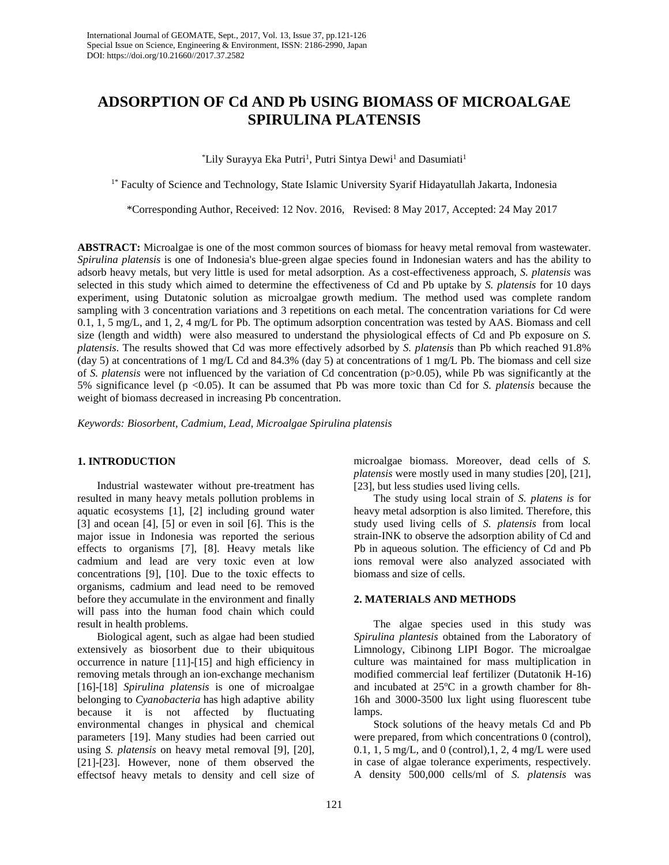# **ADSORPTION OF Cd AND Pb USING BIOMASS OF MICROALGAE SPIRULINA PLATENSIS**

\*Lily Surayya Eka Putri<sup>1</sup>, Putri Sintya Dewi<sup>1</sup> and Dasumiati<sup>1</sup>

<sup>1\*</sup> Faculty of Science and Technology, State Islamic University Syarif Hidayatullah Jakarta, Indonesia

\*Corresponding Author, Received: 12 Nov. 2016, Revised: 8 May 2017, Accepted: 24 May 2017

**ABSTRACT:** Microalgae is one of the most common sources of biomass for heavy metal removal from wastewater. *Spirulina platensis* is one of Indonesia's blue-green algae species found in Indonesian waters and has the ability to adsorb heavy metals, but very little is used for metal adsorption. As a cost-effectiveness approach, *S. platensis* was selected in this study which aimed to determine the effectiveness of Cd and Pb uptake by *S. platensis* for 10 days experiment, using Dutatonic solution as microalgae growth medium. The method used was complete random sampling with 3 concentration variations and 3 repetitions on each metal. The concentration variations for Cd were 0.1, 1, 5 mg/L, and 1, 2, 4 mg/L for Pb. The optimum adsorption concentration was tested by AAS. Biomass and cell size (length and width) were also measured to understand the physiological effects of Cd and Pb exposure on *S. platensis*. The results showed that Cd was more effectively adsorbed by *S. platensis* than Pb which reached 91.8% (day 5) at concentrations of 1 mg/L Cd and 84.3% (day 5) at concentrations of 1 mg/L Pb. The biomass and cell size of *S. platensis* were not influenced by the variation of Cd concentration (p>0.05), while Pb was significantly at the 5% significance level (p <0.05). It can be assumed that Pb was more toxic than Cd for *S. platensis* because the weight of biomass decreased in increasing Pb concentration.

*Keywords: Biosorbent, Cadmium, Lead, Microalgae Spirulina platensis*

## **1. INTRODUCTION**

Industrial wastewater without pre-treatment has resulted in many heavy metals pollution problems in aquatic ecosystems [1], [2] including ground water [3] and ocean [4], [5] or even in soil [6]. This is the major issue in Indonesia was reported the serious effects to organisms [7], [8]. Heavy metals like cadmium and lead are very toxic even at low concentrations [9], [10]. Due to the toxic effects to organisms, cadmium and lead need to be removed before they accumulate in the environment and finally will pass into the human food chain which could result in health problems.

Biological agent, such as algae had been studied extensively as biosorbent due to their ubiquitous occurrence in nature [11]-[15] and high efficiency in removing metals through an ion-exchange mechanism [16]-[18] *Spirulina platensis* is one of microalgae belonging to *Cyanobacteria* has high adaptive ability because it is not affected by fluctuating environmental changes in physical and chemical parameters [19]. Many studies had been carried out using *S. platensis* on heavy metal removal [9], [20], [21]-[23]. However, none of them observed the effectsof heavy metals to density and cell size of

microalgae biomass. Moreover, dead cells of *S. platensis* were mostly used in many studies [20], [21], [23], but less studies used living cells.

The study using local strain of *S. platens is* for heavy metal adsorption is also limited. Therefore, this study used living cells of *S. platensis* from local strain-INK to observe the adsorption ability of Cd and Pb in aqueous solution. The efficiency of Cd and Pb ions removal were also analyzed associated with biomass and size of cells.

## **2. MATERIALS AND METHODS**

The algae species used in this study was *Spirulina plantesis* obtained from the Laboratory of Limnology, Cibinong LIPI Bogor. The microalgae culture was maintained for mass multiplication in modified commercial leaf fertilizer (Dutatonik H-16) and incubated at  $25^{\circ}$ C in a growth chamber for 8h-16h and 3000-3500 lux light using fluorescent tube lamps.

Stock solutions of the heavy metals Cd and Pb were prepared, from which concentrations 0 (control), 0.1, 1, 5 mg/L, and 0 (control),  $1$ ,  $2$ ,  $4$  mg/L were used in case of algae tolerance experiments, respectively. A density 500,000 cells/ml of *S. platensis* was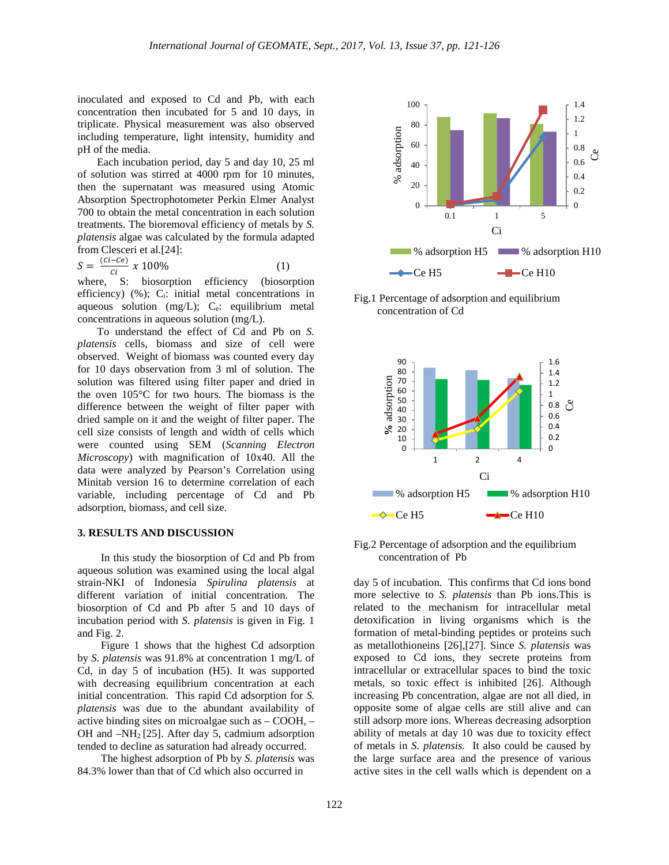inoculated and exposed to Cd and Pb, with each concentration then incubated for 5 and 10 days, in triplicate. Physical measurement was also observed including temperature, light intensity, humidity and pH of the media.

Each incubation period, day 5 and day 10, 25 ml of solution was stirred at 4000 rpm for 10 minutes, then the supernatant was measured using Atomic Absorption Spectrophotometer Perkin Elmer Analyst 700 to obtain the metal concentration in each solution treatments. The bioremoval efficiency of metals by *S. platensis* algae was calculated by the formula adapted from Clesceri et al.[24]:

 $S = \frac{(c_i - c_e)}{c_i} \times 100\%$  (1)  $\frac{S - C_i}{S}$ <br>where, S:

biosorption efficiency (biosorption efficiency)  $(\%)$ ; C<sub>i</sub>: initial metal concentrations in aqueous solution (mg/L); C<sub>e</sub>: equilibrium metal concentrations in aqueous solution (mg/L).

To understand the effect of Cd and Pb on *S. platensis* cells, biomass and size of cell were observed. Weight of biomass was counted every day for 10 days observation from 3 ml of solution. The solution was filtered using filter paper and dried in the oven 105°C for two hours. The biomass is the difference between the weight of filter paper with dried sample on it and the weight of filter paper. The cell size consists of length and width of cells which were counted using SEM (*Scanning Electron Microscopy*) with magnification of 10x40. All the data were analyzed by Pearson's Correlation using Minitab version 16 to determine correlation of each variable, including percentage of Cd and Pb adsorption, biomass, and cell size.

#### **3. RESULTS AND DISCUSSION**

In this study the biosorption of Cd and Pb from aqueous solution was examined using the local algal strain-NKI of Indonesia *Spirulina platensis* at different variation of initial concentration. The biosorption of Cd and Pb after 5 and 10 days of incubation period with *S. platensis* is given in Fig. 1 and Fig. 2.

Figure 1 shows that the highest Cd adsorption by *S. platensis* was 91.8% at concentration 1 mg/L of Cd, in day 5 of incubation (H5). It was supported with decreasing equilibrium concentration at each initial concentration. This rapid Cd adsorption for *S. platensis* was due to the abundant availability of active binding sites on microalgae such as – COOH, – OH and –NH2 [25]. After day 5, cadmium adsorption tended to decline as saturation had already occurred.

The highest adsorption of Pb by *S. platensis* was 84.3% lower than that of Cd which also occurred in



Fig.1 Percentage of adsorption and equilibrium concentration of Cd



Fig.2 Percentage of adsorption and the equilibrium concentration of Pb

day 5 of incubation. This confirms that Cd ions bond more selective to *S. platensis* than Pb ions.This is related to the mechanism for intracellular metal detoxification in living organisms which is the formation of metal-binding peptides or proteins such as metallothioneins [26],[27]. Since *S. platensis* was exposed to Cd ions, they secrete proteins from intracellular or extracellular spaces to bind the toxic metals, so toxic effect is inhibited [26]. Although increasing Pb concentration, algae are not all died, in opposite some of algae cells are still alive and can still adsorp more ions. Whereas decreasing adsorption ability of metals at day 10 was due to toxicity effect of metals in *S. platensis*. It also could be caused by the large surface area and the presence of various active sites in the cell walls which is dependent on a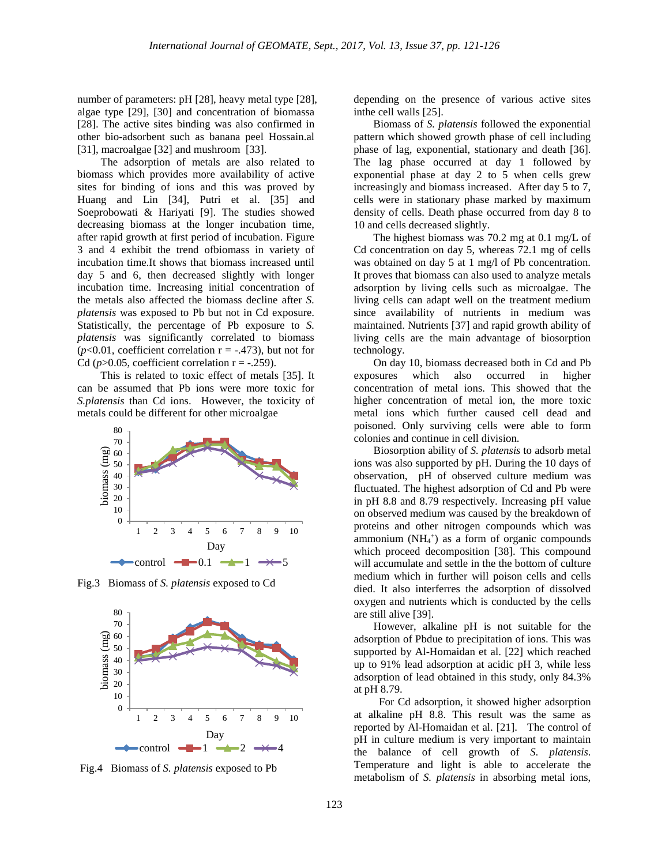number of parameters: pH [28], heavy metal type [28], algae type [29], [30] and concentration of biomassa [28]. The active sites binding was also confirmed in other bio-adsorbent such as banana peel Hossain.al [31], macroalgae [32] and mushroom [33].

The adsorption of metals are also related to biomass which provides more availability of active sites for binding of ions and this was proved by Huang and Lin [34], Putri et al. [35] and Soeprobowati & Hariyati [9]. The studies showed decreasing biomass at the longer incubation time, after rapid growth at first period of incubation. Figure 3 and 4 exhibit the trend ofbiomass in variety of incubation time.It shows that biomass increased until day 5 and 6, then decreased slightly with longer incubation time. Increasing initial concentration of the metals also affected the biomass decline after *S. platensis* was exposed to Pb but not in Cd exposure. Statistically, the percentage of Pb exposure to *S. platensis* was significantly correlated to biomass  $(p<0.01$ , coefficient correlation  $r = -.473$ ), but not for Cd ( $p > 0.05$ , coefficient correlation  $r = -.259$ ).

This is related to toxic effect of metals [35]. It can be assumed that Pb ions were more toxic for *S.platensis* than Cd ions. However, the toxicity of metals could be different for other microalgae



Fig.3 Biomass of *S. platensis* exposed to Cd



Fig.4 Biomass of *S. platensis* exposed to Pb

depending on the presence of various active sites inthe cell walls [25].

Biomass of *S. platensis* followed the exponential pattern which showed growth phase of cell including phase of lag, exponential, stationary and death [36]. The lag phase occurred at day 1 followed by exponential phase at day 2 to 5 when cells grew increasingly and biomass increased. After day 5 to 7, cells were in stationary phase marked by maximum density of cells. Death phase occurred from day 8 to 10 and cells decreased slightly.

The highest biomass was 70.2 mg at 0.1 mg/L of Cd concentration on day 5, whereas 72.1 mg of cells was obtained on day 5 at 1 mg/l of Pb concentration. It proves that biomass can also used to analyze metals adsorption by living cells such as microalgae. The living cells can adapt well on the treatment medium since availability of nutrients in medium was maintained. Nutrients [37] and rapid growth ability of living cells are the main advantage of biosorption technology.

On day 10, biomass decreased both in Cd and Pb exposures which also occurred in higher concentration of metal ions. This showed that the higher concentration of metal ion, the more toxic metal ions which further caused cell dead and poisoned. Only surviving cells were able to form colonies and continue in cell division.

Biosorption ability of *S. platensis* to adsorb metal ions was also supported by pH. During the 10 days of observation, pH of observed culture medium was fluctuated. The highest adsorption of Cd and Pb were in pH 8.8 and 8.79 respectively. Increasing pH value on observed medium was caused by the breakdown of proteins and other nitrogen compounds which was ammonium  $(NH<sub>4</sub><sup>+</sup>)$  as a form of organic compounds which proceed decomposition [38]. This compound will accumulate and settle in the the bottom of culture medium which in further will poison cells and cells died. It also interferres the adsorption of dissolved oxygen and nutrients which is conducted by the cells are still alive [39].

However, alkaline pH is not suitable for the adsorption of Pbdue to precipitation of ions. This was supported by Al-Homaidan et al. [22] which reached up to 91% lead adsorption at acidic pH 3, while less adsorption of lead obtained in this study, only 84.3% at pH 8.79.

 For Cd adsorption, it showed higher adsorption at alkaline pH 8.8. This result was the same as reported by Al-Homaidan et al. [21]. The control of pH in culture medium is very important to maintain the balance of cell growth of *S. platensis*. Temperature and light is able to accelerate the metabolism of *S. platensis* in absorbing metal ions,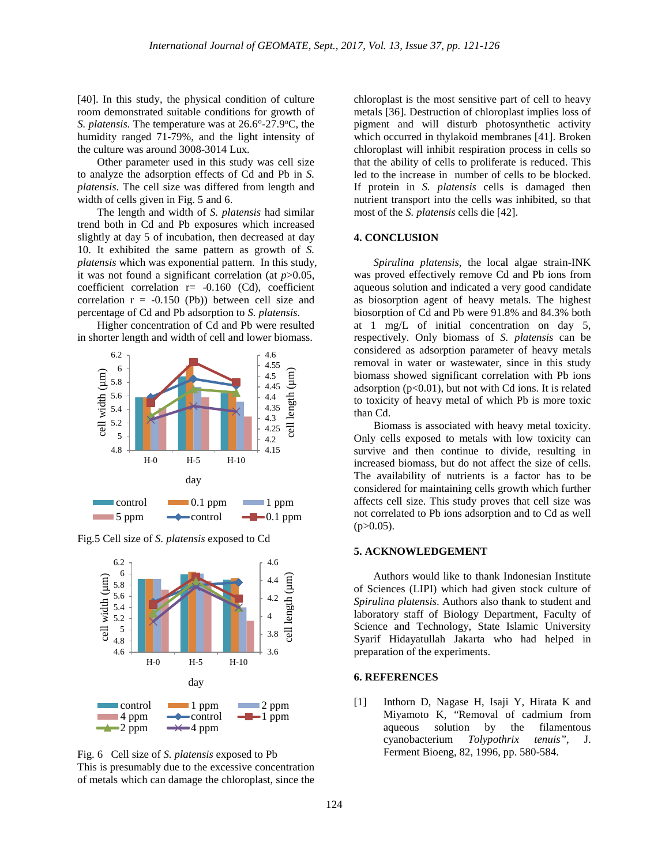[40]. In this study, the physical condition of culture room demonstrated suitable conditions for growth of S. *platensis*. The temperature was at 26.6°-27.9°C, the humidity ranged 71-79%, and the light intensity of the culture was around 3008-3014 Lux.

Other parameter used in this study was cell size to analyze the adsorption effects of Cd and Pb in *S. platensis*. The cell size was differed from length and width of cells given in Fig. 5 and 6.

The length and width of *S. platensis* had similar trend both in Cd and Pb exposures which increased slightly at day 5 of incubation, then decreased at day 10. It exhibited the same pattern as growth of *S. platensis* which was exponential pattern. In this study, it was not found a significant correlation (at *p*>0.05, coefficient correlation  $r = -0.160$  (Cd), coefficient correlation  $r = -0.150$  (Pb)) between cell size and percentage of Cd and Pb adsorption to *S. platensis*.

Higher concentration of Cd and Pb were resulted in shorter length and width of cell and lower biomass.



Fig.5 Cell size of *S. platensis* exposed to Cd





chloroplast is the most sensitive part of cell to heavy metals [36]. Destruction of chloroplast implies loss of pigment and will disturb photosynthetic activity which occurred in thylakoid membranes [41]. Broken chloroplast will inhibit respiration process in cells so that the ability of cells to proliferate is reduced. This led to the increase in number of cells to be blocked. If protein in *S. platensis* cells is damaged then nutrient transport into the cells was inhibited, so that most of the *S. platensis* cells die [42].

#### **4. CONCLUSION**

*Spirulina platensis*, the local algae strain-INK was proved effectively remove Cd and Pb ions from aqueous solution and indicated a very good candidate as biosorption agent of heavy metals. The highest biosorption of Cd and Pb were 91.8% and 84.3% both at 1 mg/L of initial concentration on day 5, respectively. Only biomass of *S. platensis* can be considered as adsorption parameter of heavy metals removal in water or wastewater, since in this study biomass showed significant correlation with Pb ions adsorption  $(p<0.01)$ , but not with Cd ions. It is related to toxicity of heavy metal of which Pb is more toxic than Cd.

Biomass is associated with heavy metal toxicity. Only cells exposed to metals with low toxicity can survive and then continue to divide, resulting in increased biomass, but do not affect the size of cells. The availability of nutrients is a factor has to be considered for maintaining cells growth which further affects cell size. This study proves that cell size was not correlated to Pb ions adsorption and to Cd as well  $(p>0.05)$ .

## **5. ACKNOWLEDGEMENT**

Authors would like to thank Indonesian Institute of Sciences (LIPI) which had given stock culture of *Spirulina platensis*. Authors also thank to student and laboratory staff of Biology Department, Faculty of Science and Technology, State Islamic University Syarif Hidayatullah Jakarta who had helped in preparation of the experiments.

#### **6. REFERENCES**

[1] Inthorn D, Nagase H, Isaji Y, Hirata K and Miyamoto K, "Removal of cadmium from aqueous solution by the filamentous cyanobacterium *Tolypothrix tenuis",* J. Ferment Bioeng, 82, 1996, pp. 580-584.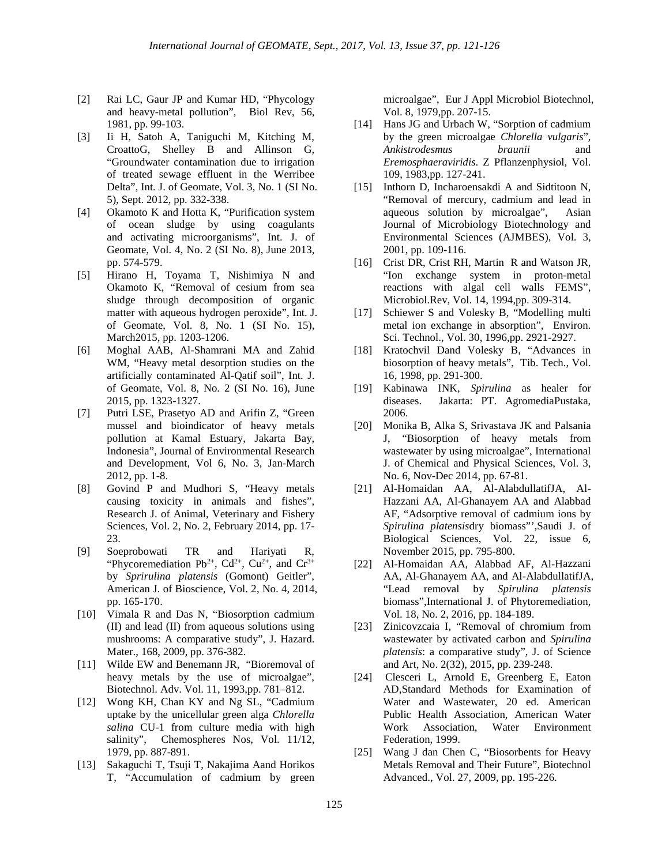- [2] Rai LC, Gaur JP and Kumar HD, "Phycology and heavy-metal pollution", Biol Rev, 56, 1981, pp. 99-103.
- [3] Ii H, Satoh A, Taniguchi M, Kitching M, CroattoG, Shelley B and Allinson G, "Groundwater contamination due to irrigation of treated sewage effluent in the Werribee Delta", Int. J. of Geomate, Vol. 3, No. 1 (SI No. 5), Sept. 2012, pp. 332-338.
- [4] Okamoto K and Hotta K, "Purification system of ocean sludge by using coagulants and activating microorganisms", Int. J. of Geomate, Vol. 4, No. 2 (SI No. 8), June 2013, pp. 574-579.
- [5] Hirano H, Toyama T, Nishimiya N and Okamoto K, "Removal of cesium from sea sludge through decomposition of organic matter with aqueous hydrogen peroxide", Int. J. of Geomate, Vol. 8, No. 1 (SI No. 15), March2015, pp. 1203-1206.
- [6] Moghal AAB, Al-Shamrani MA and Zahid WM, "Heavy metal desorption studies on the artificially contaminated Al-Qatif soil", Int. J. of Geomate, Vol. 8, No. 2 (SI No. 16), June 2015, pp. 1323-1327.
- [7] Putri LSE, Prasetyo AD and Arifin Z, "Green mussel and bioindicator of heavy metals pollution at Kamal Estuary, Jakarta Bay, Indonesia", Journal of Environmental Research and Development, Vol 6, No. 3, Jan-March 2012, pp. 1-8.
- [8] Govind P and Mudhori S, "Heavy metals causing toxicity in animals and fishes", Research J. of Animal, Veterinary and Fishery Sciences, Vol. 2, No. 2, February 2014, pp. 17- 23.
- [9] Soeprobowati TR and Hariyati R, "Phycoremediation Pb<sup>2+</sup>, Cd<sup>2+</sup>, Cu<sup>2+</sup>, and Cr<sup>3+</sup> by *Sprirulina platensis* (Gomont) Geitler", American J. of Bioscience, Vol. 2, No. 4, 2014, pp. 165-170.
- [10] Vimala R and Das N, "Biosorption cadmium (II) and lead (II) from aqueous solutions using mushrooms: A comparative study", J. Hazard. Mater., 168, 2009, pp. 376-382.
- [11] Wilde EW and Benemann JR, "Bioremoval of heavy metals by the use of microalgae", Biotechnol. Adv. Vol. 11, 1993,pp. 781–812.
- [12] Wong KH, Chan KY and Ng SL, "Cadmium uptake by the unicellular green alga *Chlorella salina* CU-1 from culture media with high salinity", Chemospheres Nos, Vol. 11/12, 1979, pp. 887-891.
- [13] Sakaguchi T, Tsuji T, Nakajima Aand Horikos T, "Accumulation of cadmium by green

microalgae", Eur J Appl Microbiol Biotechnol, Vol. 8, 1979,pp. 207-15.

- [14] Hans JG and Urbach W, "Sorption of cadmium by the green microalgae *Chlorella vulgaris*", *Ankistrodesmus braunii* and *Eremosphaeraviridis*. Z Pflanzenphysiol, Vol. 109, 1983,pp. 127-241.
- [15] Inthorn D, Incharoensakdi A and Sidtitoon N, "Removal of mercury, cadmium and lead in aqueous solution by microalgae", Asian Journal of Microbiology Biotechnology and Environmental Sciences (AJMBES), Vol. 3, 2001, pp. 109-116.
- [16] Crist DR, Crist RH, Martin R and Watson JR, "Ion exchange system in proton-metal reactions with algal cell walls FEMS", Microbiol.Rev, Vol. 14, 1994,pp. 309-314.
- [17] Schiewer S and Volesky B, "Modelling multi metal ion exchange in absorption", Environ. Sci. Technol., Vol. 30, 1996,pp. 2921-2927.
- [18] Kratochvil Dand Volesky B, "Advances in biosorption of heavy metals", Tib. Tech., Vol. 16, 1998, pp. 291-300.
- [19] Kabinawa INK, *Spirulina* as healer for diseases. Jakarta: PT. AgromediaPustaka, 2006.
- [20] Monika B, Alka S, Srivastava JK and Palsania J, "Biosorption of heavy metals from wastewater by using microalgae", International J. of Chemical and Physical Sciences, Vol. 3, No. 6, Nov-Dec 2014, pp. 67-81.
- [21] Al-Homaidan AA, Al-AlabdullatifJA, Al-Hazzani AA, Al-Ghanayem AA and Alabbad AF, "Adsorptive removal of cadmium ions by *Spirulina platensis*dry biomass"',Saudi J. of Biological Sciences, Vol. 22, issue 6, November 2015, pp. 795-800.
- [22] Al-Homaidan AA, Alabbad AF, Al-Hazzani AA, Al-Ghanayem AA, and Al-AlabdullatifJA, "Lead removal by *Spirulina platensis* biomass",International J. of Phytoremediation, Vol. 18, No. 2, 2016, pp. 184-189.
- [23] Zinicovzcaia I, "Removal of chromium from wastewater by activated carbon and *Spirulina platensis*: a comparative study", J. of Science and Art, No. 2(32), 2015, pp. 239-248.
- [24] Clesceri L, Arnold E, Greenberg E, Eaton AD,Standard Methods for Examination of Water and Wastewater, 20 ed. American Public Health Association, American Water Work Association, Water Environment Federation, 1999.
- [25] Wang J dan Chen C, "Biosorbents for Heavy Metals Removal and Their Future", Biotechnol Advanced., Vol. 27, 2009, pp. 195-226.